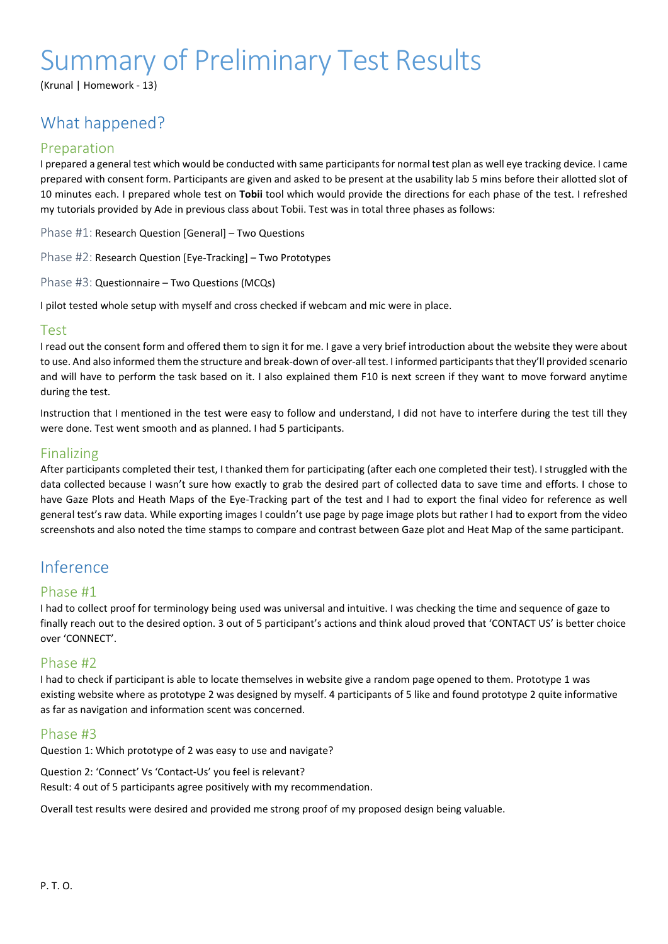# Summary of Preliminary Test Results

(Krunal | Homework - 13)

## What happened?

## Preparation

I prepared a general test which would be conducted with same participants for normal test plan as well eye tracking device. I came prepared with consent form. Participants are given and asked to be present at the usability lab 5 mins before their allotted slot of 10 minutes each. I prepared whole test on **Tobii** tool which would provide the directions for each phase of the test. I refreshed my tutorials provided by Ade in previous class about Tobii. Test was in total three phases as follows:

Phase #1: Research Question [General] – Two Questions

Phase #2: Research Question [Eye-Tracking] – Two Prototypes

Phase #3: Questionnaire – Two Questions (MCQs)

I pilot tested whole setup with myself and cross checked if webcam and mic were in place.

### Test

I read out the consent form and offered them to sign it for me. I gave a very brief introduction about the website they were about to use. And also informed them the structure and break-down of over-all test. I informed participants that they'll provided scenario and will have to perform the task based on it. I also explained them F10 is next screen if they want to move forward anytime during the test.

Instruction that I mentioned in the test were easy to follow and understand, I did not have to interfere during the test till they were done. Test went smooth and as planned. I had 5 participants.

## Finalizing

After participants completed their test, I thanked them for participating (after each one completed their test). I struggled with the data collected because I wasn't sure how exactly to grab the desired part of collected data to save time and efforts. I chose to have Gaze Plots and Heath Maps of the Eye-Tracking part of the test and I had to export the final video for reference as well general test's raw data. While exporting images I couldn't use page by page image plots but rather I had to export from the video screenshots and also noted the time stamps to compare and contrast between Gaze plot and Heat Map of the same participant.

## Inference

### Phase #1

I had to collect proof for terminology being used was universal and intuitive. I was checking the time and sequence of gaze to finally reach out to the desired option. 3 out of 5 participant's actions and think aloud proved that 'CONTACT US' is better choice over 'CONNECT'.

## Phase #2

I had to check if participant is able to locate themselves in website give a random page opened to them. Prototype 1 was existing website where as prototype 2 was designed by myself. 4 participants of 5 like and found prototype 2 quite informative as far as navigation and information scent was concerned.

### Phase #3

Question 1: Which prototype of 2 was easy to use and navigate?

Question 2: 'Connect' Vs 'Contact-Us' you feel is relevant? Result: 4 out of 5 participants agree positively with my recommendation.

Overall test results were desired and provided me strong proof of my proposed design being valuable.